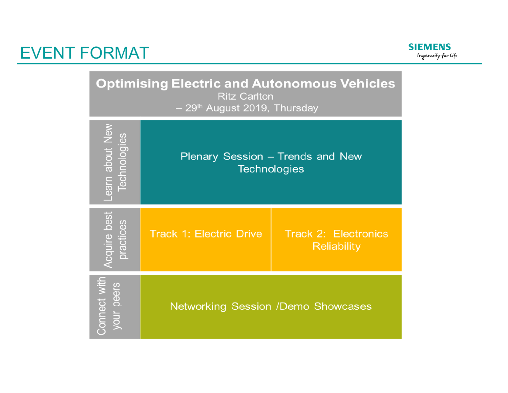

**Optimising Electric and Autonomous Vehicles Ritz Carlton** 

- 29<sup>th</sup> August 2019, Thursday